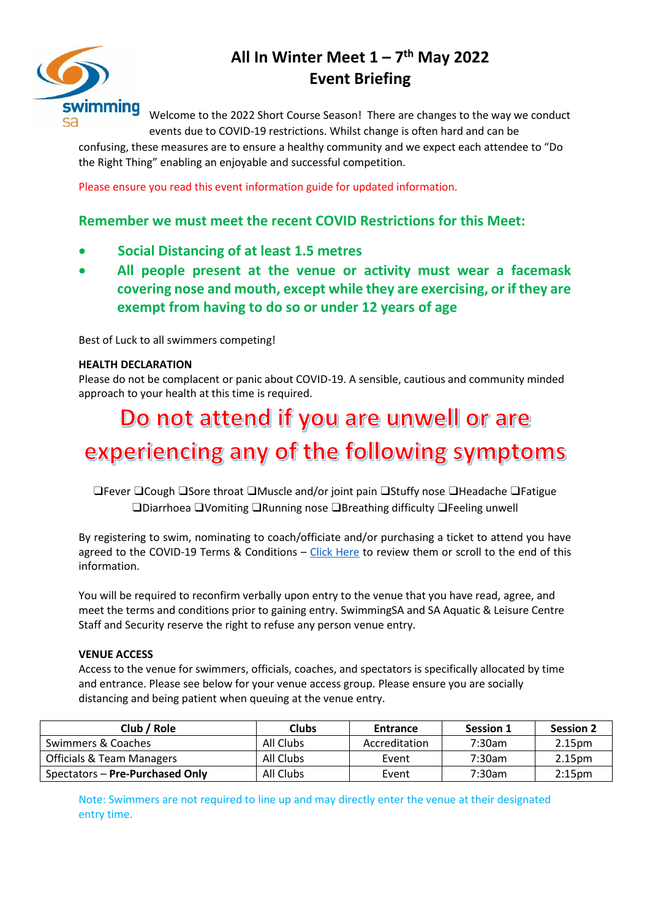

## **All In Winter Meet 1 – 7 th May 2022 Event Briefing**

Welcome to the 2022 Short Course Season! There are changes to the way we conduct events due to COVID-19 restrictions. Whilst change is often hard and can be

confusing, these measures are to ensure a healthy community and we expect each attendee to "Do the Right Thing" enabling an enjoyable and successful competition.

Please ensure you read this event information guide for updated information.

### **Remember we must meet the recent COVID Restrictions for this Meet:**

- **Social Distancing of at least 1.5 metres**
- **All people present at the venue or activity must wear a facemask covering nose and mouth, except while they are exercising, or if they are exempt from having to do so or under 12 years of age**

Best of Luck to all swimmers competing!

#### **HEALTH DECLARATION**

Please do not be complacent or panic about COVID-19. A sensible, cautious and community minded approach to your health at this time is required.

# Do not attend if you are unwell or are experiencing any of the following symptoms

❑Fever ❑Cough ❑Sore throat ❑Muscle and/or joint pain ❑Stuffy nose ❑Headache ❑Fatigue ❑Diarrhoea ❑Vomiting ❑Running nose ❑Breathing difficulty ❑Feeling unwell

By registering to swim, nominating to coach/officiate and/or purchasing a ticket to attend you have agreed to the COVID-19 Terms & Conditions - [Click Here](https://sa.swimming.org.au/sites/default/files/assets/documents/9004%20-%20Terms%20and%20Conditions%20Membership%20-%20COVID-19%20Addendum_0.pdf) to review them or scroll to the end of this information.

You will be required to reconfirm verbally upon entry to the venue that you have read, agree, and meet the terms and conditions prior to gaining entry. SwimmingSA and SA Aquatic & Leisure Centre Staff and Security reserve the right to refuse any person venue entry.

#### **VENUE ACCESS**

Access to the venue for swimmers, officials, coaches, and spectators is specifically allocated by time and entrance. Please see below for your venue access group. Please ensure you are socially distancing and being patient when queuing at the venue entry.

| Club / Role                          | <b>Clubs</b> | Entrance      | <b>Session 1</b> | <b>Session 2</b>   |
|--------------------------------------|--------------|---------------|------------------|--------------------|
| Swimmers & Coaches                   | All Clubs    | Accreditation | 7:30am           | 2.15pm             |
| <b>Officials &amp; Team Managers</b> | All Clubs    | Event         | 7:30am           | 2.15pm             |
| Spectators – Pre-Purchased Only      | All Clubs    | Event         | 7:30am           | 2:15 <sub>pm</sub> |

Note: Swimmers are not required to line up and may directly enter the venue at their designated entry time.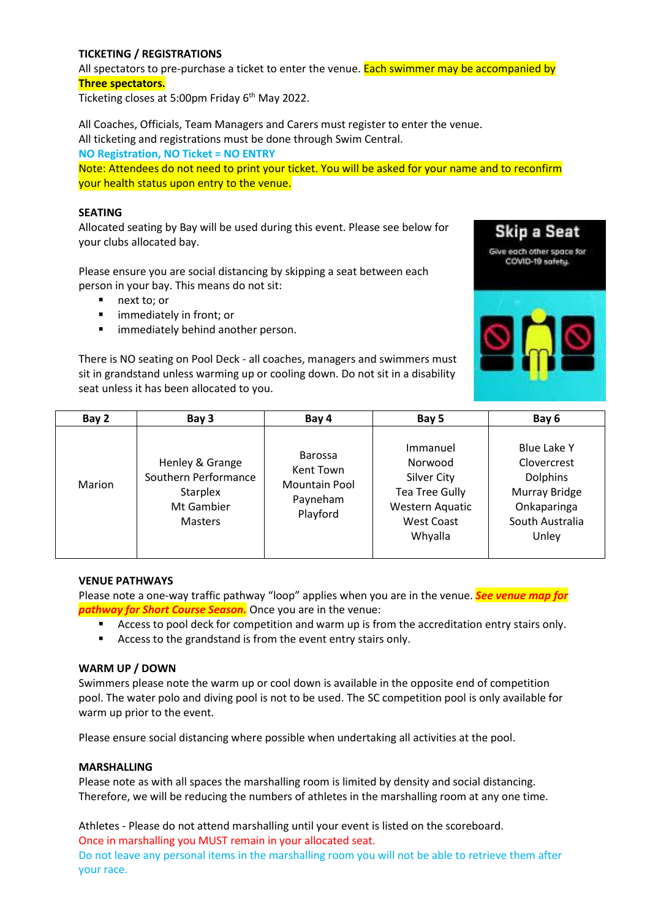#### **TICKETING / REGISTRATIONS**

All spectators to pre-purchase a ticket to enter the venue. Each swimmer may be accompanied by **Three spectators.**

Ticketing closes at 5:00pm Friday 6<sup>th</sup> May 2022.

All Coaches, Officials, Team Managers and Carers must register to enter the venue. All ticketing and registrations must be done through Swim Central. **NO Registration, NO Ticket = NO ENTRY**

Note: Attendees do not need to print your ticket. You will be asked for your name and to reconfirm your health status upon entry to the venue.

#### **SEATING**

Allocated seating by Bay will be used during this event. Please see below for your clubs allocated bay.

Please ensure you are social distancing by skipping a seat between each person in your bay. This means do not sit:

- next to; or
- immediately in front; or
- **■** immediately behind another person.

**Skip a Seat** Give each other space for COVID-19 safetu.

There is NO seating on Pool Deck - all coaches, managers and swimmers must sit in grandstand unless warming up or cooling down. Do not sit in a disability seat unless it has been allocated to you.

| Bay 2         | Bay 3                                                                                      | Bay 4                                                                       | Bay 5                                                                                                                 | Bay 6                                                                                                     |
|---------------|--------------------------------------------------------------------------------------------|-----------------------------------------------------------------------------|-----------------------------------------------------------------------------------------------------------------------|-----------------------------------------------------------------------------------------------------------|
| <b>Marion</b> | Henley & Grange<br>Southern Performance<br><b>Starplex</b><br>Mt Gambier<br><b>Masters</b> | <b>Barossa</b><br>Kent Town<br><b>Mountain Pool</b><br>Payneham<br>Playford | Immanuel<br>Norwood<br><b>Silver City</b><br><b>Tea Tree Gully</b><br>Western Aquatic<br><b>West Coast</b><br>Whyalla | Blue Lake Y<br>Clovercrest<br><b>Dolphins</b><br>Murray Bridge<br>Onkaparinga<br>South Australia<br>Unley |

#### **VENUE PATHWAYS**

Please note a one-way traffic pathway "loop" applies when you are in the venue. *See venue map for pathway for Short Course Season.* Once you are in the venue:

- Access to pool deck for competition and warm up is from the accreditation entry stairs only.
- Access to the grandstand is from the event entry stairs only.

#### **WARM UP / DOWN**

Swimmers please note the warm up or cool down is available in the opposite end of competition pool. The water polo and diving pool is not to be used. The SC competition pool is only available for warm up prior to the event.

Please ensure social distancing where possible when undertaking all activities at the pool.

#### **MARSHALLING**

Please note as with all spaces the marshalling room is limited by density and social distancing. Therefore, we will be reducing the numbers of athletes in the marshalling room at any one time.

Athletes - Please do not attend marshalling until your event is listed on the scoreboard. Once in marshalling you MUST remain in your allocated seat. Do not leave any personal items in the marshalling room you will not be able to retrieve them after

your race.